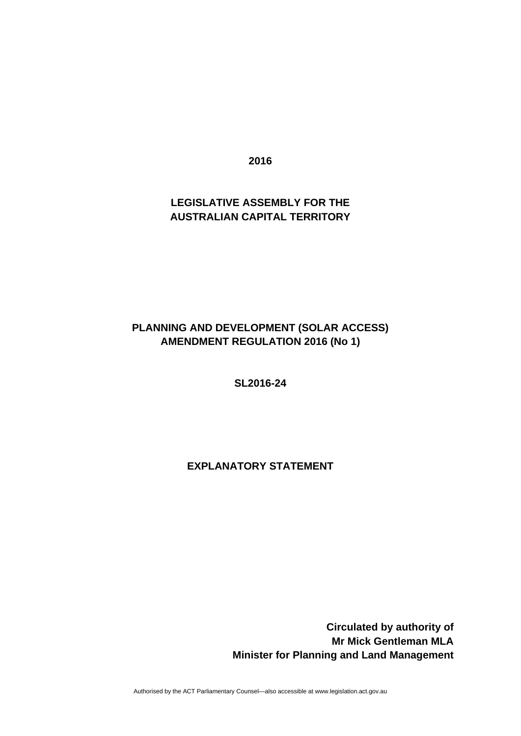**2016** 

## **LEGISLATIVE ASSEMBLY FOR THE AUSTRALIAN CAPITAL TERRITORY**

# **PLANNING AND DEVELOPMENT (SOLAR ACCESS) AMENDMENT REGULATION 2016 (No 1)**

**SL2016-24** 

## **EXPLANATORY STATEMENT**

 **Circulated by authority of Mr Mick Gentleman MLA Minister for Planning and Land Management**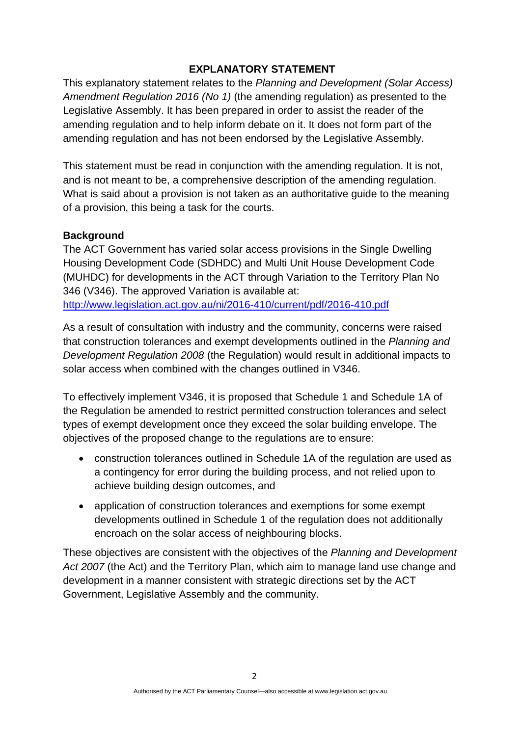## **EXPLANATORY STATEMENT**

This explanatory statement relates to the *Planning and Development (Solar Access) Amendment Regulation 2016 (No 1)* (the amending regulation) as presented to the Legislative Assembly. It has been prepared in order to assist the reader of the amending regulation and to help inform debate on it. It does not form part of the amending regulation and has not been endorsed by the Legislative Assembly.

This statement must be read in conjunction with the amending regulation. It is not, and is not meant to be, a comprehensive description of the amending regulation. What is said about a provision is not taken as an authoritative guide to the meaning of a provision, this being a task for the courts.

#### **Background**

The ACT Government has varied solar access provisions in the Single Dwelling Housing Development Code (SDHDC) and Multi Unit House Development Code (MUHDC) for developments in the ACT through Variation to the Territory Plan No 346 (V346). The approved Variation is available at: <http://www.legislation.act.gov.au/ni/2016-410/current/pdf/2016-410.pdf>

As a result of consultation with industry and the community, concerns were raised that construction tolerances and exempt developments outlined in the *Planning and Development Regulation 2008* (the Regulation) would result in additional impacts to solar access when combined with the changes outlined in V346.

To effectively implement V346, it is proposed that Schedule 1 and Schedule 1A of the Regulation be amended to restrict permitted construction tolerances and select types of exempt development once they exceed the solar building envelope. The objectives of the proposed change to the regulations are to ensure:

- construction tolerances outlined in Schedule 1A of the regulation are used as a contingency for error during the building process, and not relied upon to achieve building design outcomes, and
- application of construction tolerances and exemptions for some exempt developments outlined in Schedule 1 of the regulation does not additionally encroach on the solar access of neighbouring blocks.

These objectives are consistent with the objectives of the *Planning and Development Act 2007* (the Act) and the Territory Plan, which aim to manage land use change and development in a manner consistent with strategic directions set by the ACT Government, Legislative Assembly and the community.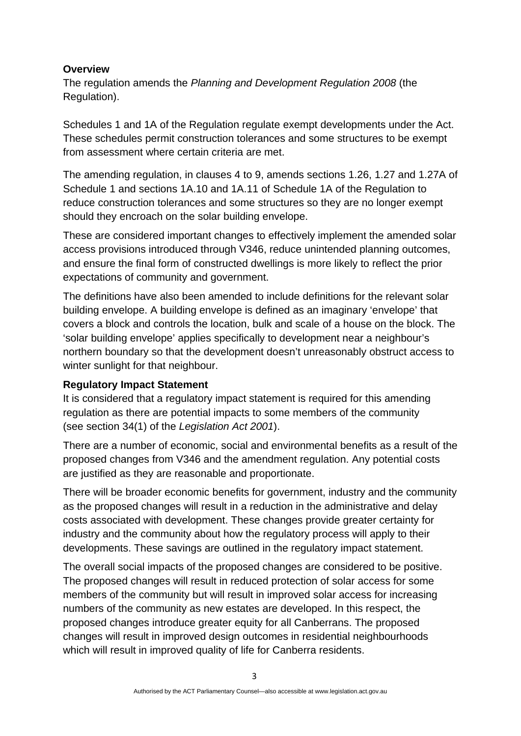#### **Overview**

The regulation amends the *Planning and Development Regulation 2008* (the Regulation).

Schedules 1 and 1A of the Regulation regulate exempt developments under the Act. These schedules permit construction tolerances and some structures to be exempt from assessment where certain criteria are met.

The amending regulation, in clauses 4 to 9, amends sections 1.26, 1.27 and 1.27A of Schedule 1 and sections 1A.10 and 1A.11 of Schedule 1A of the Regulation to reduce construction tolerances and some structures so they are no longer exempt should they encroach on the solar building envelope.

These are considered important changes to effectively implement the amended solar access provisions introduced through V346, reduce unintended planning outcomes, and ensure the final form of constructed dwellings is more likely to reflect the prior expectations of community and government.

The definitions have also been amended to include definitions for the relevant solar building envelope. A building envelope is defined as an imaginary 'envelope' that covers a block and controls the location, bulk and scale of a house on the block. The 'solar building envelope' applies specifically to development near a neighbour's northern boundary so that the development doesn't unreasonably obstruct access to winter sunlight for that neighbour.

## **Regulatory Impact Statement**

It is considered that a regulatory impact statement is required for this amending regulation as there are potential impacts to some members of the community (see section 34(1) of the *Legislation Act 2001*).

There are a number of economic, social and environmental benefits as a result of the proposed changes from V346 and the amendment regulation. Any potential costs are justified as they are reasonable and proportionate.

There will be broader economic benefits for government, industry and the community as the proposed changes will result in a reduction in the administrative and delay costs associated with development. These changes provide greater certainty for industry and the community about how the regulatory process will apply to their developments. These savings are outlined in the regulatory impact statement.

The overall social impacts of the proposed changes are considered to be positive. The proposed changes will result in reduced protection of solar access for some members of the community but will result in improved solar access for increasing numbers of the community as new estates are developed. In this respect, the proposed changes introduce greater equity for all Canberrans. The proposed changes will result in improved design outcomes in residential neighbourhoods which will result in improved quality of life for Canberra residents.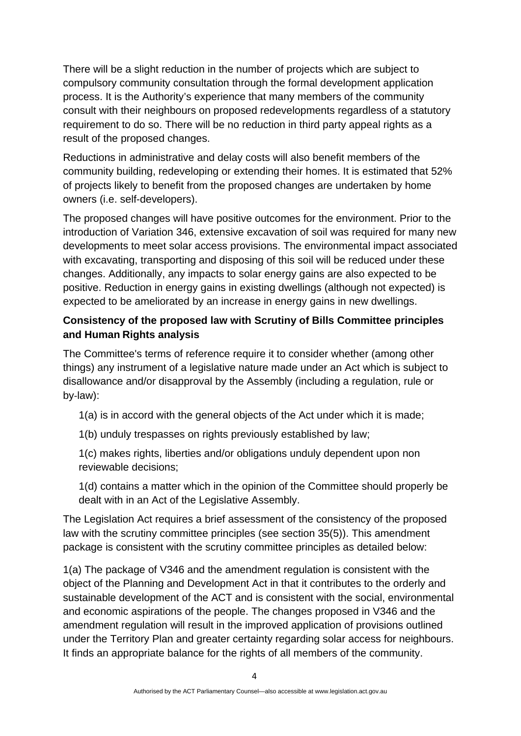There will be a slight reduction in the number of projects which are subject to compulsory community consultation through the formal development application process. It is the Authority's experience that many members of the community consult with their neighbours on proposed redevelopments regardless of a statutory requirement to do so. There will be no reduction in third party appeal rights as a result of the proposed changes.

Reductions in administrative and delay costs will also benefit members of the community building, redeveloping or extending their homes. It is estimated that 52% of projects likely to benefit from the proposed changes are undertaken by home owners (i.e. self-developers).

The proposed changes will have positive outcomes for the environment. Prior to the introduction of Variation 346, extensive excavation of soil was required for many new developments to meet solar access provisions. The environmental impact associated with excavating, transporting and disposing of this soil will be reduced under these changes. Additionally, any impacts to solar energy gains are also expected to be positive. Reduction in energy gains in existing dwellings (although not expected) is expected to be ameliorated by an increase in energy gains in new dwellings.

# **Consistency of the proposed law with Scrutiny of Bills Committee principles and Human Rights analysis**

The Committee's terms of reference require it to consider whether (among other things) any instrument of a legislative nature made under an Act which is subject to disallowance and/or disapproval by the Assembly (including a regulation, rule or by‐law):

1(a) is in accord with the general objects of the Act under which it is made;

1(b) unduly trespasses on rights previously established by law;

1(c) makes rights, liberties and/or obligations unduly dependent upon non reviewable decisions;

1(d) contains a matter which in the opinion of the Committee should properly be dealt with in an Act of the Legislative Assembly.

The Legislation Act requires a brief assessment of the consistency of the proposed law with the scrutiny committee principles (see section 35(5)). This amendment package is consistent with the scrutiny committee principles as detailed below:

1(a) The package of V346 and the amendment regulation is consistent with the object of the Planning and Development Act in that it contributes to the orderly and sustainable development of the ACT and is consistent with the social, environmental and economic aspirations of the people. The changes proposed in V346 and the amendment regulation will result in the improved application of provisions outlined under the Territory Plan and greater certainty regarding solar access for neighbours. It finds an appropriate balance for the rights of all members of the community.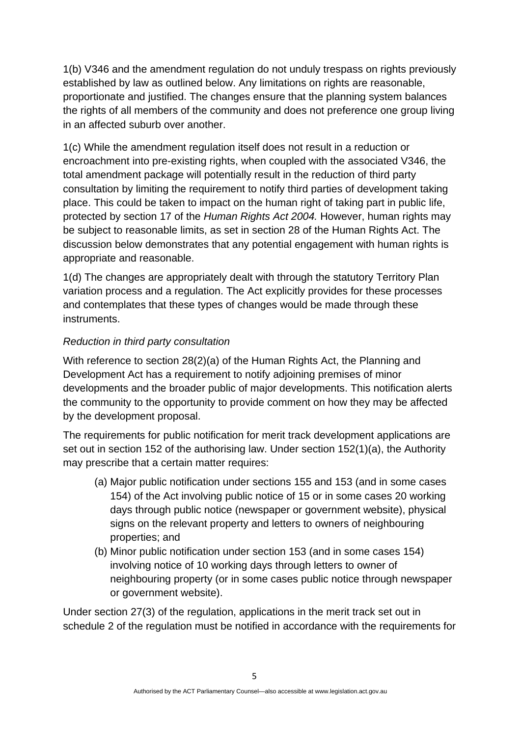1(b) V346 and the amendment regulation do not unduly trespass on rights previously established by law as outlined below. Any limitations on rights are reasonable, proportionate and justified. The changes ensure that the planning system balances the rights of all members of the community and does not preference one group living in an affected suburb over another.

1(c) While the amendment regulation itself does not result in a reduction or encroachment into pre-existing rights, when coupled with the associated V346, the total amendment package will potentially result in the reduction of third party consultation by limiting the requirement to notify third parties of development taking place. This could be taken to impact on the human right of taking part in public life, protected by section 17 of the *Human Rights Act 2004.* However, human rights may be subject to reasonable limits, as set in section 28 of the Human Rights Act. The discussion below demonstrates that any potential engagement with human rights is appropriate and reasonable.

1(d) The changes are appropriately dealt with through the statutory Territory Plan variation process and a regulation. The Act explicitly provides for these processes and contemplates that these types of changes would be made through these instruments.

## *Reduction in third party consultation*

With reference to section 28(2)(a) of the Human Rights Act, the Planning and Development Act has a requirement to notify adjoining premises of minor developments and the broader public of major developments. This notification alerts the community to the opportunity to provide comment on how they may be affected by the development proposal.

The requirements for public notification for merit track development applications are set out in section 152 of the authorising law. Under section 152(1)(a), the Authority may prescribe that a certain matter requires:

- (a) Major public notification under sections 155 and 153 (and in some cases 154) of the Act involving public notice of 15 or in some cases 20 working days through public notice (newspaper or government website), physical signs on the relevant property and letters to owners of neighbouring properties; and
- (b) Minor public notification under section 153 (and in some cases 154) involving notice of 10 working days through letters to owner of neighbouring property (or in some cases public notice through newspaper or government website).

Under section 27(3) of the regulation, applications in the merit track set out in schedule 2 of the regulation must be notified in accordance with the requirements for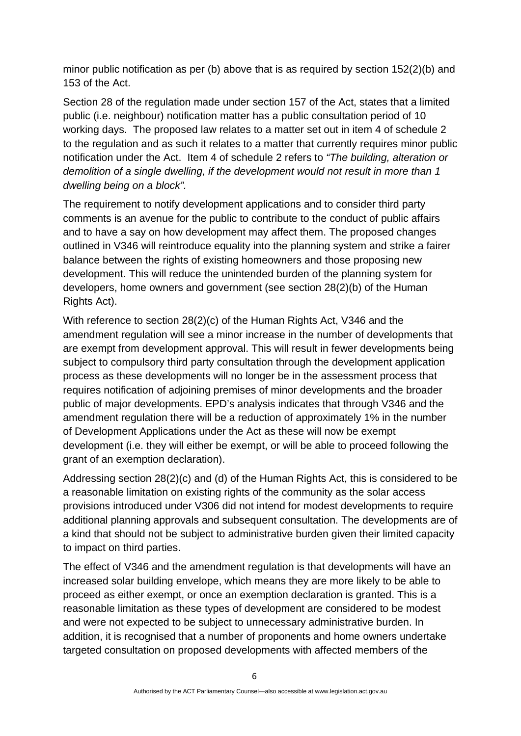minor public notification as per (b) above that is as required by section 152(2)(b) and 153 of the Act.

Section 28 of the regulation made under section 157 of the Act, states that a limited public (i.e. neighbour) notification matter has a public consultation period of 10 working days. The proposed law relates to a matter set out in item 4 of schedule 2 to the regulation and as such it relates to a matter that currently requires minor public notification under the Act. Item 4 of schedule 2 refers to *"The building, alteration or demolition of a single dwelling, if the development would not result in more than 1 dwelling being on a block".*

The requirement to notify development applications and to consider third party comments is an avenue for the public to contribute to the conduct of public affairs and to have a say on how development may affect them. The proposed changes outlined in V346 will reintroduce equality into the planning system and strike a fairer balance between the rights of existing homeowners and those proposing new development. This will reduce the unintended burden of the planning system for developers, home owners and government (see section 28(2)(b) of the Human Rights Act).

With reference to section 28(2)(c) of the Human Rights Act, V346 and the amendment regulation will see a minor increase in the number of developments that are exempt from development approval. This will result in fewer developments being subject to compulsory third party consultation through the development application process as these developments will no longer be in the assessment process that requires notification of adjoining premises of minor developments and the broader public of major developments. EPD's analysis indicates that through V346 and the amendment regulation there will be a reduction of approximately 1% in the number of Development Applications under the Act as these will now be exempt development (i.e. they will either be exempt, or will be able to proceed following the grant of an exemption declaration).

Addressing section 28(2)(c) and (d) of the Human Rights Act, this is considered to be a reasonable limitation on existing rights of the community as the solar access provisions introduced under V306 did not intend for modest developments to require additional planning approvals and subsequent consultation. The developments are of a kind that should not be subject to administrative burden given their limited capacity to impact on third parties.

The effect of V346 and the amendment regulation is that developments will have an increased solar building envelope, which means they are more likely to be able to proceed as either exempt, or once an exemption declaration is granted. This is a reasonable limitation as these types of development are considered to be modest and were not expected to be subject to unnecessary administrative burden. In addition, it is recognised that a number of proponents and home owners undertake targeted consultation on proposed developments with affected members of the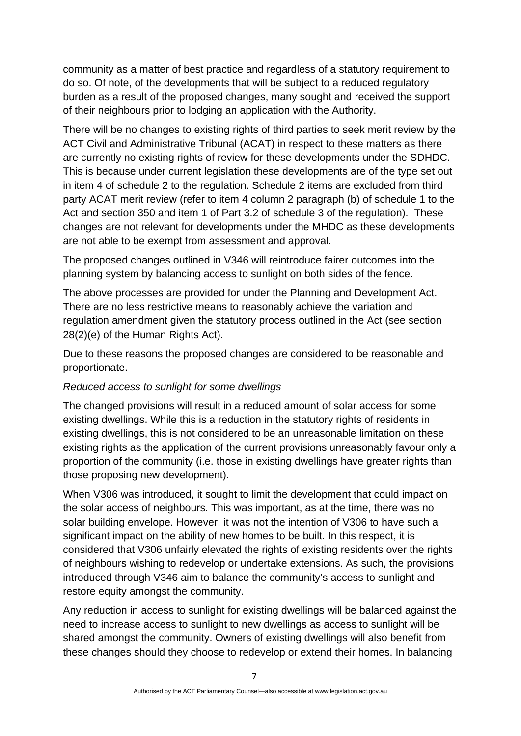community as a matter of best practice and regardless of a statutory requirement to do so. Of note, of the developments that will be subject to a reduced regulatory burden as a result of the proposed changes, many sought and received the support of their neighbours prior to lodging an application with the Authority.

There will be no changes to existing rights of third parties to seek merit review by the ACT Civil and Administrative Tribunal (ACAT) in respect to these matters as there are currently no existing rights of review for these developments under the SDHDC. This is because under current legislation these developments are of the type set out in item 4 of schedule 2 to the regulation. Schedule 2 items are excluded from third party ACAT merit review (refer to item 4 column 2 paragraph (b) of schedule 1 to the Act and section 350 and item 1 of Part 3.2 of schedule 3 of the regulation). These changes are not relevant for developments under the MHDC as these developments are not able to be exempt from assessment and approval.

The proposed changes outlined in V346 will reintroduce fairer outcomes into the planning system by balancing access to sunlight on both sides of the fence.

The above processes are provided for under the Planning and Development Act. There are no less restrictive means to reasonably achieve the variation and regulation amendment given the statutory process outlined in the Act (see section 28(2)(e) of the Human Rights Act).

Due to these reasons the proposed changes are considered to be reasonable and proportionate.

#### *Reduced access to sunlight for some dwellings*

The changed provisions will result in a reduced amount of solar access for some existing dwellings. While this is a reduction in the statutory rights of residents in existing dwellings, this is not considered to be an unreasonable limitation on these existing rights as the application of the current provisions unreasonably favour only a proportion of the community (i.e. those in existing dwellings have greater rights than those proposing new development).

When V306 was introduced, it sought to limit the development that could impact on the solar access of neighbours. This was important, as at the time, there was no solar building envelope. However, it was not the intention of V306 to have such a significant impact on the ability of new homes to be built. In this respect, it is considered that V306 unfairly elevated the rights of existing residents over the rights of neighbours wishing to redevelop or undertake extensions. As such, the provisions introduced through V346 aim to balance the community's access to sunlight and restore equity amongst the community.

Any reduction in access to sunlight for existing dwellings will be balanced against the need to increase access to sunlight to new dwellings as access to sunlight will be shared amongst the community. Owners of existing dwellings will also benefit from these changes should they choose to redevelop or extend their homes. In balancing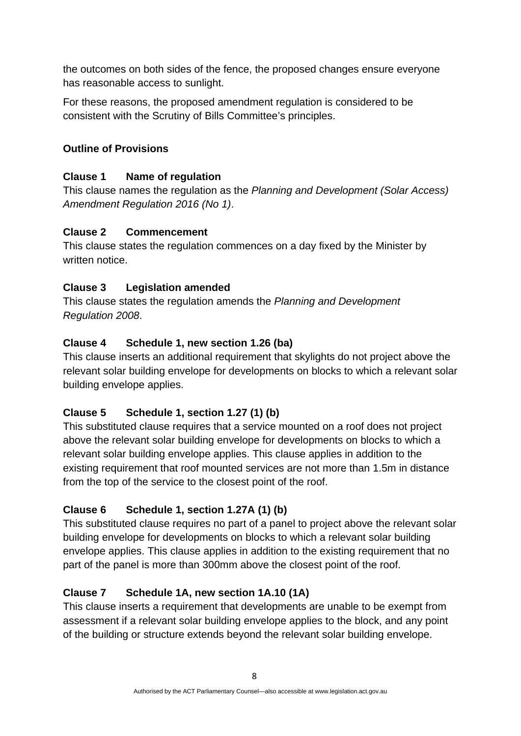the outcomes on both sides of the fence, the proposed changes ensure everyone has reasonable access to sunlight.

For these reasons, the proposed amendment regulation is considered to be consistent with the Scrutiny of Bills Committee's principles.

## **Outline of Provisions**

## **Clause 1 Name of regulation**

This clause names the regulation as the *Planning and Development (Solar Access) Amendment Regulation 2016 (No 1)*.

## **Clause 2 Commencement**

This clause states the regulation commences on a day fixed by the Minister by written notice.

# **Clause 3 Legislation amended**

This clause states the regulation amends the *Planning and Development Regulation 2008*.

## **Clause 4 Schedule 1, new section 1.26 (ba)**

This clause inserts an additional requirement that skylights do not project above the relevant solar building envelope for developments on blocks to which a relevant solar building envelope applies.

# **Clause 5 Schedule 1, section 1.27 (1) (b)**

This substituted clause requires that a service mounted on a roof does not project above the relevant solar building envelope for developments on blocks to which a relevant solar building envelope applies. This clause applies in addition to the existing requirement that roof mounted services are not more than 1.5m in distance from the top of the service to the closest point of the roof.

# **Clause 6 Schedule 1, section 1.27A (1) (b)**

This substituted clause requires no part of a panel to project above the relevant solar building envelope for developments on blocks to which a relevant solar building envelope applies. This clause applies in addition to the existing requirement that no part of the panel is more than 300mm above the closest point of the roof.

# **Clause 7 Schedule 1A, new section 1A.10 (1A)**

This clause inserts a requirement that developments are unable to be exempt from assessment if a relevant solar building envelope applies to the block, and any point of the building or structure extends beyond the relevant solar building envelope.